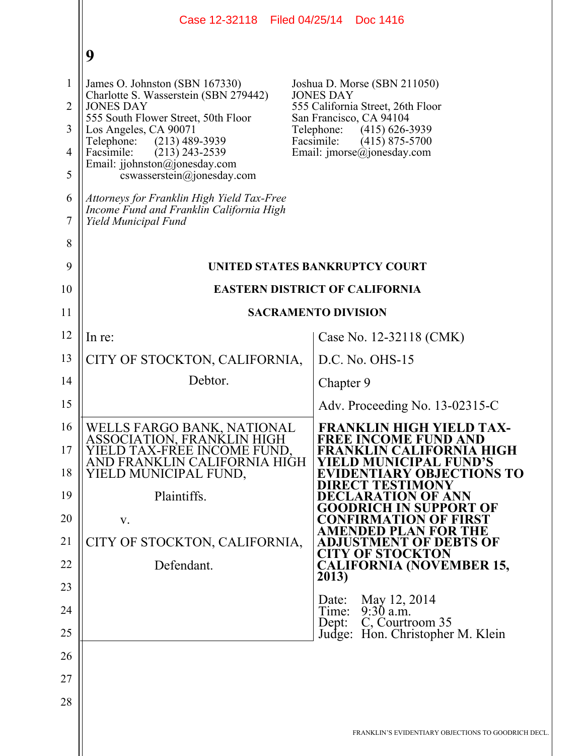|                                                           | Case 12-32118 Filed 04/25/14 Doc 1416                                                                                                                                                                                                                                                                                                                                                    |                                                                                                                                                                                                                                        |
|-----------------------------------------------------------|------------------------------------------------------------------------------------------------------------------------------------------------------------------------------------------------------------------------------------------------------------------------------------------------------------------------------------------------------------------------------------------|----------------------------------------------------------------------------------------------------------------------------------------------------------------------------------------------------------------------------------------|
|                                                           | 9                                                                                                                                                                                                                                                                                                                                                                                        |                                                                                                                                                                                                                                        |
| 1<br>$\overline{2}$<br>3<br>$\overline{4}$<br>5<br>6<br>7 | James O. Johnston (SBN 167330)<br>Charlotte S. Wasserstein (SBN 279442)<br><b>JONES DAY</b><br>555 South Flower Street, 50th Floor<br>Los Angeles, CA 90071<br>$(213)$ 489-3939<br>Telephone:<br>Facsimile:<br>$(213)$ 243-2539<br>Email: jjohnston@jonesday.com<br>cswasserstein@jonesday.com<br>Attorneys for Franklin High Yield Tax-Free<br>Income Fund and Franklin California High | Joshua D. Morse (SBN 211050)<br><b>JONES DAY</b><br>555 California Street, 26th Floor<br>San Francisco, CA 94104<br>Telephone:<br>$(415) 626 - 3939$<br>Facsimile:<br>$(415)$ 875-5700<br>Email: $\text{imorse}(\hat{a})$ jonesday.com |
| 8                                                         | Yield Municipal Fund                                                                                                                                                                                                                                                                                                                                                                     |                                                                                                                                                                                                                                        |
| 9                                                         |                                                                                                                                                                                                                                                                                                                                                                                          | UNITED STATES BANKRUPTCY COURT                                                                                                                                                                                                         |
| 10                                                        | <b>EASTERN DISTRICT OF CALIFORNIA</b>                                                                                                                                                                                                                                                                                                                                                    |                                                                                                                                                                                                                                        |
| 11                                                        |                                                                                                                                                                                                                                                                                                                                                                                          | <b>SACRAMENTO DIVISION</b>                                                                                                                                                                                                             |
| 12                                                        | In re:                                                                                                                                                                                                                                                                                                                                                                                   | Case No. 12-32118 (CMK)                                                                                                                                                                                                                |
| 13                                                        | CITY OF STOCKTON, CALIFORNIA,                                                                                                                                                                                                                                                                                                                                                            | $D.C. No. OHS-15$                                                                                                                                                                                                                      |
| 14                                                        | Debtor.                                                                                                                                                                                                                                                                                                                                                                                  | Chapter 9                                                                                                                                                                                                                              |
| 15                                                        |                                                                                                                                                                                                                                                                                                                                                                                          | Adv. Proceeding No. 13-02315-C                                                                                                                                                                                                         |
| 16<br>17<br>18                                            | WELLS FARGO BANK, NATIONAL<br>ASSOCIATION, FRANKLIN HIGH<br>YIELD TAX-FREE INCOME FUND.<br>AND FRANKLIN CALIFORNIA HIGH<br>YIELD MUNICIPAL FUND,                                                                                                                                                                                                                                         | <b>FRANKLIN HIGH YIELD TAX-</b><br><b>FREE INCOME FUND AND</b><br>FRANKLIN CALIFORNIA HIGH<br>YIELD MUNICIPAL FUND'S<br><b>EVIDENTIARY OBJECTIONS TO</b><br><b>DIRECT TESTIMONY</b>                                                    |
| 19                                                        | Plaintiffs.                                                                                                                                                                                                                                                                                                                                                                              | DECLARATION OF ANN<br><b>GOODRICH IN SUPPORT OF</b>                                                                                                                                                                                    |
| 20<br>21                                                  | V.<br>CITY OF STOCKTON, CALIFORNIA,                                                                                                                                                                                                                                                                                                                                                      | <b>CONFIRMATION OF FIRST</b><br>AMENDED PLAN FOR THE<br><b>ADJUSTMENT OF DEBTS OF</b>                                                                                                                                                  |
| 22                                                        | Defendant.                                                                                                                                                                                                                                                                                                                                                                               | <b>CITY OF STOCKTON</b><br><b>CALIFORNIA (NOVEMBER 15,</b>                                                                                                                                                                             |
| 23                                                        |                                                                                                                                                                                                                                                                                                                                                                                          | 2013)                                                                                                                                                                                                                                  |
| 24                                                        |                                                                                                                                                                                                                                                                                                                                                                                          | May 12, 2014<br>Date:<br>Time: 9:30 a.m.                                                                                                                                                                                               |
| 25                                                        |                                                                                                                                                                                                                                                                                                                                                                                          | C, Courtroom 35<br>Dep:<br>Judge: Hon. Christopher M. Klein                                                                                                                                                                            |
| 26                                                        |                                                                                                                                                                                                                                                                                                                                                                                          |                                                                                                                                                                                                                                        |
| 27                                                        |                                                                                                                                                                                                                                                                                                                                                                                          |                                                                                                                                                                                                                                        |
| 28                                                        |                                                                                                                                                                                                                                                                                                                                                                                          |                                                                                                                                                                                                                                        |
|                                                           |                                                                                                                                                                                                                                                                                                                                                                                          | FRANKLIN'S EVIDENTIARY OBJECTIONS TO GOODRICH DECL                                                                                                                                                                                     |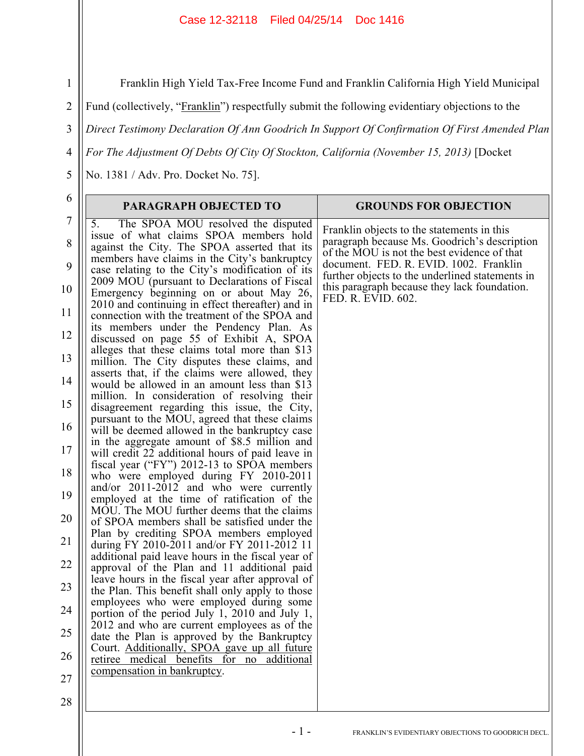Franklin High Yield Tax-Free Income Fund and Franklin California High Yield Municipal

Fund (collectively, "Franklin") respectfully submit the following evidentiary objections to the

3 *Direct Testimony Declaration Of Ann Goodrich In Support Of Confirmation Of First Amended Plan* 

*For The Adjustment Of Debts Of City Of Stockton, California (November 15, 2013)* [Docket

No. 1381 / Adv. Pro. Docket No. 75].

| 6                   | PARAGRAPH OBJECTED TO                                                                                                                                                              | <b>GROUNDS FOR OBJECTION</b>                                                                                                              |
|---------------------|------------------------------------------------------------------------------------------------------------------------------------------------------------------------------------|-------------------------------------------------------------------------------------------------------------------------------------------|
| $\overline{7}$<br>8 | The SPOA MOU resolved the disputed<br>5.<br>issue of what claims SPOA members hold<br>against the City. The SPOA asserted that its<br>members have claims in the City's bankruptcy | Franklin objects to the statements in this<br>paragraph because Ms. Goodrich's description<br>of the MOU is not the best evidence of that |
| 9                   | case relating to the City's modification of its<br>2009 MOU (pursuant to Declarations of Fiscal                                                                                    | document. FED. R. EVID. 1002. Franklin<br>further objects to the underlined statements in                                                 |
| 10                  | Emergency beginning on or about May 26,<br>2010 and continuing in effect thereafter) and in                                                                                        | this paragraph because they lack foundation.<br>FED. R. EVID. 602.                                                                        |
| 11<br>12            | connection with the treatment of the SPOA and<br>its members under the Pendency Plan. As                                                                                           |                                                                                                                                           |
| 13                  | discussed on page 55 of Exhibit A, SPOA<br>alleges that these claims total more than \$13<br>million. The City disputes these claims, and                                          |                                                                                                                                           |
| 14                  | asserts that, if the claims were allowed, they<br>would be allowed in an amount less than \$13                                                                                     |                                                                                                                                           |
| 15                  | million. In consideration of resolving their<br>disagreement regarding this issue, the City,<br>pursuant to the MOU, agreed that these claims                                      |                                                                                                                                           |
| 16                  | will be deemed allowed in the bankruptcy case<br>in the aggregate amount of \$8.5 million and                                                                                      |                                                                                                                                           |
| 17<br>18            | will credit 22 additional hours of paid leave in<br>fiscal year ("FY") 2012-13 to SPOA members                                                                                     |                                                                                                                                           |
| 19                  | who were employed during FY 2010-2011<br>and/or $2011-2012$ and who were currently<br>employed at the time of ratification of the                                                  |                                                                                                                                           |
| 20                  | MOU. The MOU further deems that the claims<br>of SPOA members shall be satisfied under the                                                                                         |                                                                                                                                           |
| 21                  | Plan by crediting SPOA members employed<br>during FY 2010-2011 and/or FY 2011-2012 11                                                                                              |                                                                                                                                           |
| 22                  | additional paid leave hours in the fiscal year of<br>approval of the Plan and 11 additional paid<br>leave hours in the fiscal year after approval of                               |                                                                                                                                           |
| 23                  | the Plan. This benefit shall only apply to those<br>employees who were employed during some                                                                                        |                                                                                                                                           |
| 24<br>25            | portion of the period July 1, 2010 and July 1,<br>2012 and who are current employees as of the                                                                                     |                                                                                                                                           |
| 26                  | date the Plan is approved by the Bankruptcy<br>Court. Additionally, SPOA gave up all future<br>retiree medical benefits for no<br>additional                                       |                                                                                                                                           |
| 27                  | compensation in bankruptcy.                                                                                                                                                        |                                                                                                                                           |
| 28                  |                                                                                                                                                                                    |                                                                                                                                           |

- 1 - FRANKLIN'S EVIDENTIARY OBJECTIONS TO GOODRICH DECL.

1

2

4

5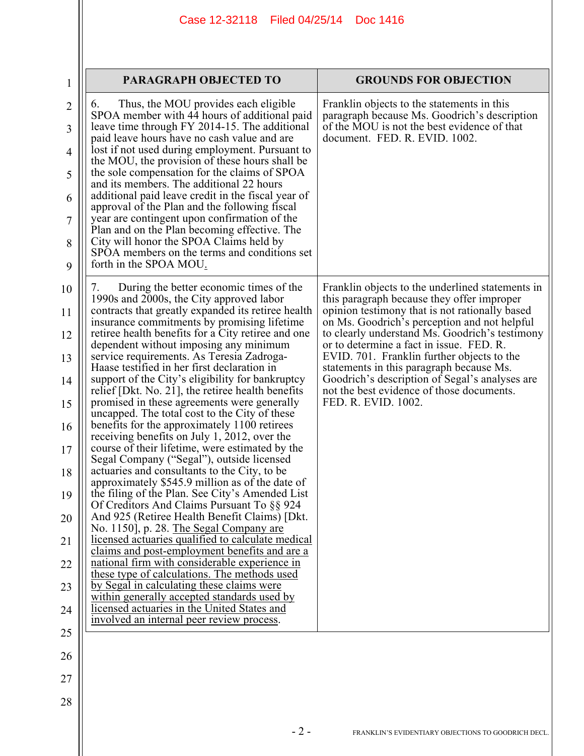| 1                                                                                            | <b>PARAGRAPH OBJECTED TO</b>                                                                                                                                                                                                                                                                                                                                                                                                                                                                                                                                                                                                                                                                                                                                                                                                                                                                                                                                                                                                                                                                                                                                                                                                                                                                                                                                                                                                                                                                        | <b>GROUNDS FOR OBJECTION</b>                                                                                                                                                                                                                                                                                                                                                                                                                                                                                   |
|----------------------------------------------------------------------------------------------|-----------------------------------------------------------------------------------------------------------------------------------------------------------------------------------------------------------------------------------------------------------------------------------------------------------------------------------------------------------------------------------------------------------------------------------------------------------------------------------------------------------------------------------------------------------------------------------------------------------------------------------------------------------------------------------------------------------------------------------------------------------------------------------------------------------------------------------------------------------------------------------------------------------------------------------------------------------------------------------------------------------------------------------------------------------------------------------------------------------------------------------------------------------------------------------------------------------------------------------------------------------------------------------------------------------------------------------------------------------------------------------------------------------------------------------------------------------------------------------------------------|----------------------------------------------------------------------------------------------------------------------------------------------------------------------------------------------------------------------------------------------------------------------------------------------------------------------------------------------------------------------------------------------------------------------------------------------------------------------------------------------------------------|
| $\overline{2}$<br>3<br>4<br>5<br>6<br>7<br>8<br>9                                            | Thus, the MOU provides each eligible<br>$\mathfrak{b}$ .<br>SPOA member with 44 hours of additional paid<br>leave time through FY 2014-15. The additional<br>paid leave hours have no cash value and are<br>lost if not used during employment. Pursuant to<br>the MOU, the provision of these hours shall be<br>the sole compensation for the claims of SPOA<br>and its members. The additional 22 hours<br>additional paid leave credit in the fiscal year of<br>approval of the Plan and the following fiscal<br>year are contingent upon confirmation of the<br>Plan and on the Plan becoming effective. The<br>City will honor the SPOA Claims held by<br>SPOA members on the terms and conditions set<br>forth in the SPOA MOU.                                                                                                                                                                                                                                                                                                                                                                                                                                                                                                                                                                                                                                                                                                                                                               | Franklin objects to the statements in this<br>paragraph because Ms. Goodrich's description<br>of the MOU is not the best evidence of that<br>document. FED. R. EVID. 1002.                                                                                                                                                                                                                                                                                                                                     |
| 10<br>11<br>12<br>13<br>14<br>15<br>16<br>17<br>18<br>19<br>20<br>21<br>22<br>23<br>24<br>25 | During the better economic times of the<br>7.<br>1990s and 2000s, the City approved labor<br>contracts that greatly expanded its retiree health<br>insurance commitments by promising lifetime.<br>retiree health benefits for a City retiree and one<br>dependent without imposing any minimum<br>service requirements. As Teresia Zadroga-<br>Haase testified in her first declaration in<br>support of the City's eligibility for bankruptcy<br>relief [Dkt. No. 21], the retiree health benefits<br>promised in these agreements were generally<br>uncapped. The total cost to the City of these<br>benefits for the approximately 1100 retirees<br>receiving benefits on July 1, 2012, over the<br>course of their lifetime, were estimated by the<br>Segal Company ("Segal"), outside licensed<br>actuaries and consultants to the City, to be<br>approximately \$545.9 million as of the date of<br>the filing of the Plan. See City's Amended List<br>Of Creditors And Claims Pursuant To §§ 924<br>And 925 (Retiree Health Benefit Claims) [Dkt.<br>No. 1150], p. 28. The Segal Company are<br>licensed actuaries qualified to calculate medical<br>claims and post-employment benefits and are a<br>national firm with considerable experience in<br>these type of calculations. The methods used<br>by Segal in calculating these claims were<br>within generally accepted standards used by<br>licensed actuaries in the United States and<br>involved an internal peer review process. | Franklin objects to the underlined statements in<br>this paragraph because they offer improper<br>opinion testimony that is not rationally based<br>on Ms. Goodrich's perception and not helpful<br>to clearly understand Ms. Goodrich's testimony<br>or to determine a fact in issue. FED. R.<br>EVID. 701. Franklin further objects to the<br>statements in this paragraph because Ms.<br>Goodrich's description of Segal's analyses are<br>not the best evidence of those documents.<br>FED. R. EVID. 1002. |
| 26<br>27<br>28                                                                               |                                                                                                                                                                                                                                                                                                                                                                                                                                                                                                                                                                                                                                                                                                                                                                                                                                                                                                                                                                                                                                                                                                                                                                                                                                                                                                                                                                                                                                                                                                     |                                                                                                                                                                                                                                                                                                                                                                                                                                                                                                                |
|                                                                                              | $-2-$                                                                                                                                                                                                                                                                                                                                                                                                                                                                                                                                                                                                                                                                                                                                                                                                                                                                                                                                                                                                                                                                                                                                                                                                                                                                                                                                                                                                                                                                                               | FRANKLIN'S EVIDENTIARY OBJECTIONS TO GOODRICH DECL.                                                                                                                                                                                                                                                                                                                                                                                                                                                            |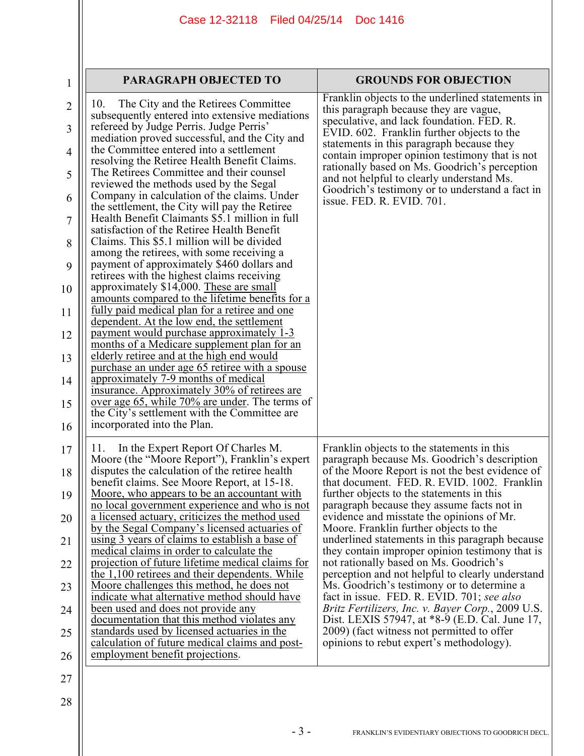| 1                   | <b>PARAGRAPH OBJECTED TO</b>                                                                                                                                                             | <b>GROUNDS FOR OBJECTION</b>                                                                                                                                                          |
|---------------------|------------------------------------------------------------------------------------------------------------------------------------------------------------------------------------------|---------------------------------------------------------------------------------------------------------------------------------------------------------------------------------------|
| $\overline{2}$<br>3 | The City and the Retirees Committee<br>10.<br>subsequently entered into extensive mediations<br>refereed by Judge Perris. Judge Perris'<br>mediation proved successful, and the City and | Franklin objects to the underlined statements in<br>this paragraph because they are vague,<br>speculative, and lack foundation. FED. R.<br>EVID. 602. Franklin further objects to the |
| 4                   | the Committee entered into a settlement<br>resolving the Retiree Health Benefit Claims.                                                                                                  | statements in this paragraph because they<br>contain improper opinion testimony that is not                                                                                           |
| 5                   | The Retirees Committee and their counsel<br>reviewed the methods used by the Segal                                                                                                       | rationally based on Ms. Goodrich's perception<br>and not helpful to clearly understand Ms.                                                                                            |
| 6                   | Company in calculation of the claims. Under<br>the settlement, the City will pay the Retiree                                                                                             | Goodrich's testimony or to understand a fact in<br>issue. FED. R. EVID. 701.                                                                                                          |
| 7                   | Health Benefit Claimants \$5.1 million in full<br>satisfaction of the Retiree Health Benefit                                                                                             |                                                                                                                                                                                       |
| 8<br>9              | Claims. This \$5.1 million will be divided<br>among the retirees, with some receiving a<br>payment of approximately \$460 dollars and                                                    |                                                                                                                                                                                       |
| 10                  | retirees with the highest claims receiving<br>approximately \$14,000. These are small                                                                                                    |                                                                                                                                                                                       |
| 11                  | amounts compared to the lifetime benefits for a<br>fully paid medical plan for a retiree and one                                                                                         |                                                                                                                                                                                       |
| 12                  | dependent. At the low end, the settlement<br>payment would purchase approximately 1-3<br>months of a Medicare supplement plan for an                                                     |                                                                                                                                                                                       |
| 13                  | elderly retiree and at the high end would<br>purchase an under age 65 retiree with a spouse                                                                                              |                                                                                                                                                                                       |
| 14                  | approximately 7-9 months of medical<br>insurance. Approximately 30% of retirees are                                                                                                      |                                                                                                                                                                                       |
| 15                  | over age 65, while 70% are under. The terms of<br>the City's settlement with the Committee are                                                                                           |                                                                                                                                                                                       |
| 16                  | incorporated into the Plan.                                                                                                                                                              |                                                                                                                                                                                       |
| 17<br>18            | In the Expert Report Of Charles M.<br>11.<br>Moore (the "Moore Report"), Franklin's expert<br>disputes the calculation of the retiree health                                             | Franklin objects to the statements in this<br>paragraph because Ms. Goodrich's description<br>of the Moore Report is not the best evidence of                                         |
| 19                  | benefit claims. See Moore Report, at 15-18.<br><u>Moore, who appears to be an accountant with</u>                                                                                        | that document. FED. R. EVID. 1002. Franklin<br>further objects to the statements in this                                                                                              |
| 20                  | no local government experience and who is not<br>a licensed actuary, criticizes the method used                                                                                          | paragraph because they assume facts not in<br>evidence and misstate the opinions of Mr.                                                                                               |
| 21                  | by the Segal Company's licensed actuaries of<br>using 3 years of claims to establish a base of                                                                                           | Moore. Franklin further objects to the<br>underlined statements in this paragraph because                                                                                             |
| 22                  | medical claims in order to calculate the<br>projection of future lifetime medical claims for                                                                                             | they contain improper opinion testimony that is<br>not rationally based on Ms. Goodrich's                                                                                             |
| 23                  | the 1,100 retirees and their dependents. While<br>Moore challenges this method, he does not                                                                                              | perception and not helpful to clearly understand<br>Ms. Goodrich's testimony or to determine a                                                                                        |
| 24                  | indicate what alternative method should have<br>been used and does not provide any                                                                                                       | fact in issue. FED. R. EVID. 701; see also<br>Britz Fertilizers, Inc. v. Bayer Corp., 2009 U.S.                                                                                       |
| 25                  | documentation that this method violates any<br>standards used by licensed actuaries in the<br>calculation of future medical claims and post-                                             | Dist. LEXIS 57947, at *8-9 (E.D. Cal. June 17,<br>2009) (fact witness not permitted to offer<br>opinions to rebut expert's methodology).                                              |
| 26                  | employment benefit projections.                                                                                                                                                          |                                                                                                                                                                                       |
| 27                  |                                                                                                                                                                                          |                                                                                                                                                                                       |
| 28                  |                                                                                                                                                                                          |                                                                                                                                                                                       |
|                     |                                                                                                                                                                                          |                                                                                                                                                                                       |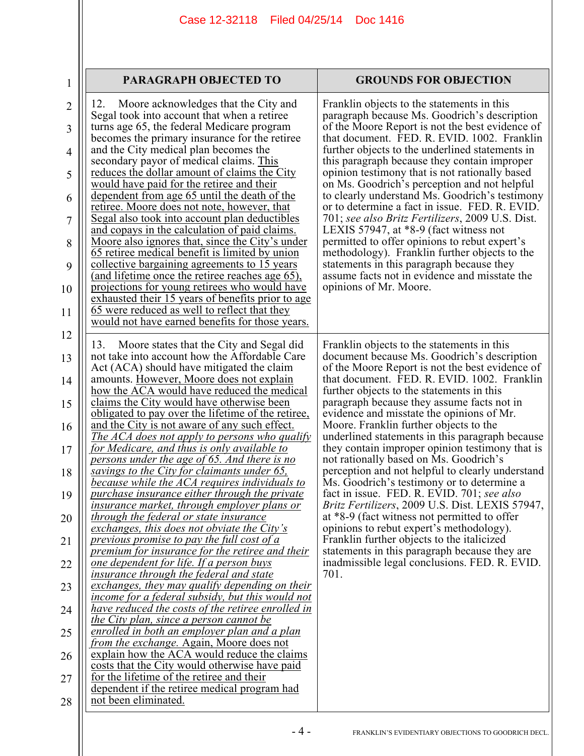| <b>PARAGRAPH OBJECTED TO</b> | <b>GROUNDS FOR OBJECTION</b> |
|------------------------------|------------------------------|
|------------------------------|------------------------------|

1

| $\overline{2}$<br>3<br>4<br>5<br>6<br>7<br>8<br>9<br>10<br>11 | Moore acknowledges that the City and<br>12.<br>Segal took into account that when a retiree<br>turns age 65, the federal Medicare program<br>becomes the primary insurance for the retiree<br>and the City medical plan becomes the<br>secondary payor of medical claims. This<br><u>reduces the dollar amount of claims the City</u><br>would have paid for the retiree and their<br>dependent from age 65 until the death of the<br>retiree. Moore does not note, however, that<br>Segal also took into account plan deductibles<br>and copays in the calculation of paid claims.<br>Moore also ignores that, since the City's under<br>65 retiree medical benefit is limited by union<br><u>collective bargaining agreements to 15 years</u><br>(and lifetime once the retiree reaches age 65),<br>projections for young retirees who would have<br>exhausted their 15 years of benefits prior to age<br>65 were reduced as well to reflect that they<br>would not have earned benefits for those years. | Franklin objects to the statements in this<br>paragraph because Ms. Goodrich's description<br>of the Moore Report is not the best evidence of<br>that document. FED. R. EVID. 1002. Franklin<br>further objects to the underlined statements in<br>this paragraph because they contain improper<br>opinion testimony that is not rationally based<br>on Ms. Goodrich's perception and not helpful<br>to clearly understand Ms. Goodrich's testimony<br>or to determine a fact in issue. FED. R. EVID.<br>701; see also Britz Fertilizers, 2009 U.S. Dist.<br>LEXIS 57947, at $*8-9$ (fact witness not<br>permitted to offer opinions to rebut expert's<br>methodology). Franklin further objects to the<br>statements in this paragraph because they<br>assume facts not in evidence and misstate the<br>opinions of Mr. Moore. |
|---------------------------------------------------------------|------------------------------------------------------------------------------------------------------------------------------------------------------------------------------------------------------------------------------------------------------------------------------------------------------------------------------------------------------------------------------------------------------------------------------------------------------------------------------------------------------------------------------------------------------------------------------------------------------------------------------------------------------------------------------------------------------------------------------------------------------------------------------------------------------------------------------------------------------------------------------------------------------------------------------------------------------------------------------------------------------------|---------------------------------------------------------------------------------------------------------------------------------------------------------------------------------------------------------------------------------------------------------------------------------------------------------------------------------------------------------------------------------------------------------------------------------------------------------------------------------------------------------------------------------------------------------------------------------------------------------------------------------------------------------------------------------------------------------------------------------------------------------------------------------------------------------------------------------|
| 12<br>13                                                      | Moore states that the City and Segal did<br>13.<br>not take into account how the Affordable Care                                                                                                                                                                                                                                                                                                                                                                                                                                                                                                                                                                                                                                                                                                                                                                                                                                                                                                           | Franklin objects to the statements in this<br>document because Ms. Goodrich's description                                                                                                                                                                                                                                                                                                                                                                                                                                                                                                                                                                                                                                                                                                                                       |
| 14                                                            | Act (ACA) should have mitigated the claim<br>amounts. However, Moore does not explain                                                                                                                                                                                                                                                                                                                                                                                                                                                                                                                                                                                                                                                                                                                                                                                                                                                                                                                      | of the Moore Report is not the best evidence of<br>that document. FED. R. EVID. 1002. Franklin                                                                                                                                                                                                                                                                                                                                                                                                                                                                                                                                                                                                                                                                                                                                  |
| 15                                                            | how the ACA would have reduced the medical<br>claims the City would have otherwise been                                                                                                                                                                                                                                                                                                                                                                                                                                                                                                                                                                                                                                                                                                                                                                                                                                                                                                                    | further objects to the statements in this<br>paragraph because they assume facts not in                                                                                                                                                                                                                                                                                                                                                                                                                                                                                                                                                                                                                                                                                                                                         |
| 16                                                            | <u>obligated to pay over the lifetime of the retiree,</u><br>and the City is not aware of any such effect.                                                                                                                                                                                                                                                                                                                                                                                                                                                                                                                                                                                                                                                                                                                                                                                                                                                                                                 | evidence and misstate the opinions of Mr.<br>Moore. Franklin further objects to the                                                                                                                                                                                                                                                                                                                                                                                                                                                                                                                                                                                                                                                                                                                                             |
|                                                               | <u>The ACA does not apply to persons who qualify</u>                                                                                                                                                                                                                                                                                                                                                                                                                                                                                                                                                                                                                                                                                                                                                                                                                                                                                                                                                       | underlined statements in this paragraph because                                                                                                                                                                                                                                                                                                                                                                                                                                                                                                                                                                                                                                                                                                                                                                                 |
| 17                                                            | <u>for Medicare, and thus is only available to</u><br>persons under the age of 65. And there is no                                                                                                                                                                                                                                                                                                                                                                                                                                                                                                                                                                                                                                                                                                                                                                                                                                                                                                         | they contain improper opinion testimony that is<br>not rationally based on Ms. Goodrich's                                                                                                                                                                                                                                                                                                                                                                                                                                                                                                                                                                                                                                                                                                                                       |
| 18                                                            | savings to the City for claimants under 65,<br>because while the ACA requires individuals to                                                                                                                                                                                                                                                                                                                                                                                                                                                                                                                                                                                                                                                                                                                                                                                                                                                                                                               | perception and not helpful to clearly understand<br>Ms. Goodrich's testimony or to determine a                                                                                                                                                                                                                                                                                                                                                                                                                                                                                                                                                                                                                                                                                                                                  |
| 19                                                            | purchase insurance either through the private<br><u>insurance market, through employer plans or</u>                                                                                                                                                                                                                                                                                                                                                                                                                                                                                                                                                                                                                                                                                                                                                                                                                                                                                                        | fact in issue. FED. R. EVID. 701; see also<br><i>Britz Fertilizers, 2009 U.S. Dist. LEXIS 57947,</i>                                                                                                                                                                                                                                                                                                                                                                                                                                                                                                                                                                                                                                                                                                                            |
| 20                                                            | <u>through the federal or state insurance</u>                                                                                                                                                                                                                                                                                                                                                                                                                                                                                                                                                                                                                                                                                                                                                                                                                                                                                                                                                              | at *8-9 (fact witness not permitted to offer                                                                                                                                                                                                                                                                                                                                                                                                                                                                                                                                                                                                                                                                                                                                                                                    |
| 21                                                            | exchanges, this does not obviate the City's<br>previous promise to pay the full cost of a                                                                                                                                                                                                                                                                                                                                                                                                                                                                                                                                                                                                                                                                                                                                                                                                                                                                                                                  | opinions to rebut expert's methodology).<br>Franklin further objects to the italicized                                                                                                                                                                                                                                                                                                                                                                                                                                                                                                                                                                                                                                                                                                                                          |
|                                                               | <i>premium for insurance for the retiree and their</i>                                                                                                                                                                                                                                                                                                                                                                                                                                                                                                                                                                                                                                                                                                                                                                                                                                                                                                                                                     | statements in this paragraph because they are                                                                                                                                                                                                                                                                                                                                                                                                                                                                                                                                                                                                                                                                                                                                                                                   |
| 22                                                            | <u>one dependent for life. If a person buys</u><br>insurance through the federal and state                                                                                                                                                                                                                                                                                                                                                                                                                                                                                                                                                                                                                                                                                                                                                                                                                                                                                                                 | inadmissible legal conclusions. FED. R. EVID.<br>701.                                                                                                                                                                                                                                                                                                                                                                                                                                                                                                                                                                                                                                                                                                                                                                           |
| 23                                                            | exchanges, they may qualify depending on their<br>income for a federal subsidy, but this would not                                                                                                                                                                                                                                                                                                                                                                                                                                                                                                                                                                                                                                                                                                                                                                                                                                                                                                         |                                                                                                                                                                                                                                                                                                                                                                                                                                                                                                                                                                                                                                                                                                                                                                                                                                 |
| 24                                                            | have reduced the costs of the retiree enrolled in                                                                                                                                                                                                                                                                                                                                                                                                                                                                                                                                                                                                                                                                                                                                                                                                                                                                                                                                                          |                                                                                                                                                                                                                                                                                                                                                                                                                                                                                                                                                                                                                                                                                                                                                                                                                                 |
|                                                               | the City plan, since a person cannot be<br>enrolled in both an employer plan and a plan                                                                                                                                                                                                                                                                                                                                                                                                                                                                                                                                                                                                                                                                                                                                                                                                                                                                                                                    |                                                                                                                                                                                                                                                                                                                                                                                                                                                                                                                                                                                                                                                                                                                                                                                                                                 |
| 25                                                            | from the exchange. Again, Moore does not                                                                                                                                                                                                                                                                                                                                                                                                                                                                                                                                                                                                                                                                                                                                                                                                                                                                                                                                                                   |                                                                                                                                                                                                                                                                                                                                                                                                                                                                                                                                                                                                                                                                                                                                                                                                                                 |
| 26                                                            | explain how the ACA would reduce the claims<br>costs that the City would otherwise have paid                                                                                                                                                                                                                                                                                                                                                                                                                                                                                                                                                                                                                                                                                                                                                                                                                                                                                                               |                                                                                                                                                                                                                                                                                                                                                                                                                                                                                                                                                                                                                                                                                                                                                                                                                                 |
| 27                                                            | for the lifetime of the retiree and their                                                                                                                                                                                                                                                                                                                                                                                                                                                                                                                                                                                                                                                                                                                                                                                                                                                                                                                                                                  |                                                                                                                                                                                                                                                                                                                                                                                                                                                                                                                                                                                                                                                                                                                                                                                                                                 |
| 28                                                            | dependent if the retiree medical program had<br>not been eliminated.                                                                                                                                                                                                                                                                                                                                                                                                                                                                                                                                                                                                                                                                                                                                                                                                                                                                                                                                       |                                                                                                                                                                                                                                                                                                                                                                                                                                                                                                                                                                                                                                                                                                                                                                                                                                 |
|                                                               |                                                                                                                                                                                                                                                                                                                                                                                                                                                                                                                                                                                                                                                                                                                                                                                                                                                                                                                                                                                                            |                                                                                                                                                                                                                                                                                                                                                                                                                                                                                                                                                                                                                                                                                                                                                                                                                                 |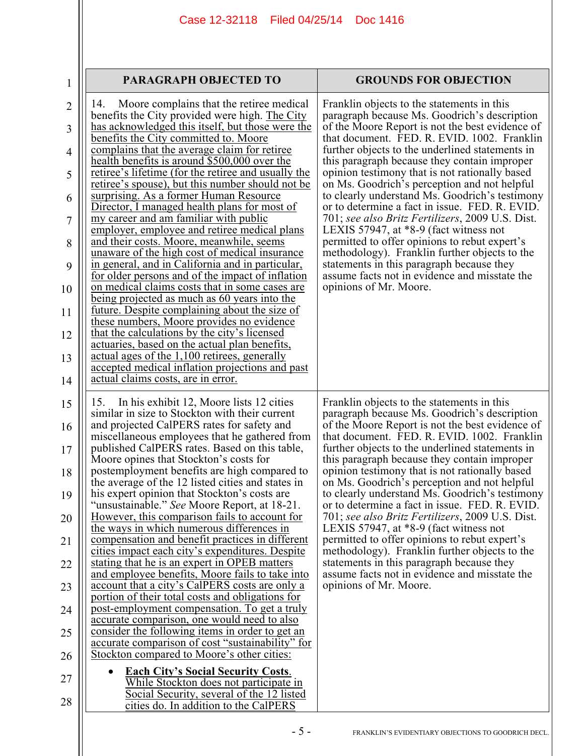| <b>PARAGRAPH OBJECTED TO</b>                                                                                                                                                                                                                                                                                                                                                                                                                                                                                                                                                                                                                                                                                                                                                                                                                                                                                                                                                                                                                                                                                                                                                                                                                                                                                                                   | <b>GROUNDS FOR OBJECTION</b>                                                                                                                                                                                                                                                                                                                                                                                                                                                                                                                                                                                                                                                                                                                                                                                                    |
|------------------------------------------------------------------------------------------------------------------------------------------------------------------------------------------------------------------------------------------------------------------------------------------------------------------------------------------------------------------------------------------------------------------------------------------------------------------------------------------------------------------------------------------------------------------------------------------------------------------------------------------------------------------------------------------------------------------------------------------------------------------------------------------------------------------------------------------------------------------------------------------------------------------------------------------------------------------------------------------------------------------------------------------------------------------------------------------------------------------------------------------------------------------------------------------------------------------------------------------------------------------------------------------------------------------------------------------------|---------------------------------------------------------------------------------------------------------------------------------------------------------------------------------------------------------------------------------------------------------------------------------------------------------------------------------------------------------------------------------------------------------------------------------------------------------------------------------------------------------------------------------------------------------------------------------------------------------------------------------------------------------------------------------------------------------------------------------------------------------------------------------------------------------------------------------|
| Moore complains that the retiree medical<br>14.<br>benefits the City provided were high. The City<br>has acknowledged this itself, but those were the<br>benefits the City committed to. Moore<br>complains that the average claim for retiree<br>health benefits is around \$500,000 over the<br>retiree's lifetime (for the retiree and usually the<br>retiree's spouse), but this number should not be<br>surprising. As a former Human Resource<br>Director, I managed health plans for most of<br>my career and am familiar with public<br>employer, employee and retiree medical plans<br>and their costs. Moore, meanwhile, seems<br>unaware of the high cost of medical insurance<br>in general, and in California and in particular,<br>for older persons and of the impact of inflation<br>on medical claims costs that in some cases are<br>being projected as much as 60 years into the<br>future. Despite complaining about the size of<br>these numbers, Moore provides no evidence<br>that the calculations by the city's licensed<br>actuaries, based on the actual plan benefits,<br>actual ages of the 1,100 retirees, generally<br>accepted medical inflation projections and past<br>actual claims costs, are in error.                                                                                                    | Franklin objects to the statements in this<br>paragraph because Ms. Goodrich's description<br>of the Moore Report is not the best evidence of<br>that document. FED. R. EVID. 1002. Franklin<br>further objects to the underlined statements in<br>this paragraph because they contain improper<br>opinion testimony that is not rationally based<br>on Ms. Goodrich's perception and not helpful<br>to clearly understand Ms. Goodrich's testimony<br>or to determine a fact in issue. FED. R. EVID.<br>701; see also Britz Fertilizers, 2009 U.S. Dist.<br>LEXIS 57947, at $*8-9$ (fact witness not<br>permitted to offer opinions to rebut expert's<br>methodology). Franklin further objects to the<br>statements in this paragraph because they<br>assume facts not in evidence and misstate the<br>opinions of Mr. Moore. |
| In his exhibit 12, Moore lists 12 cities<br>15.<br>similar in size to Stockton with their current<br>and projected CalPERS rates for safety and<br>miscellaneous employees that he gathered from<br>published CalPERS rates. Based on this table,<br>Moore opines that Stockton's costs for<br>postemployment benefits are high compared to<br>the average of the 12 listed cities and states in<br>his expert opinion that Stockton's costs are<br>'unsustainable." See Moore Report, at 18-21.<br>However, this comparison fails to account for<br>the ways in which numerous differences in<br>compensation and benefit practices in different<br>cities impact each city's expenditures. Despite<br>stating that he is an expert in OPEB matters<br>and employee benefits, Moore fails to take into<br>account that a city's CalPERS costs are only a<br>portion of their total costs and obligations for<br>post-employment compensation. To get a truly<br>accurate comparison, one would need to also<br>consider the following items in order to get an<br>accurate comparison of cost "sustainability" for<br>Stockton compared to Moore's other cities:<br><b>Each City's Social Security Costs.</b><br>While Stockton does not participate in<br>Social Security, several of the 12 listed<br>cities do. In addition to the CalPERS | Franklin objects to the statements in this<br>paragraph because Ms. Goodrich's description<br>of the Moore Report is not the best evidence of<br>that document. FED. R. EVID. 1002. Franklin<br>further objects to the underlined statements in<br>this paragraph because they contain improper<br>opinion testimony that is not rationally based<br>on Ms. Goodrich's perception and not helpful<br>to clearly understand Ms. Goodrich's testimony<br>or to determine a fact in issue. FED. R. EVID.<br>701; see also Britz Fertilizers, 2009 U.S. Dist.<br>LEXIS 57947, at $*8-9$ (fact witness not<br>permitted to offer opinions to rebut expert's<br>methodology). Franklin further objects to the<br>statements in this paragraph because they<br>assume facts not in evidence and misstate the<br>opinions of Mr. Moore. |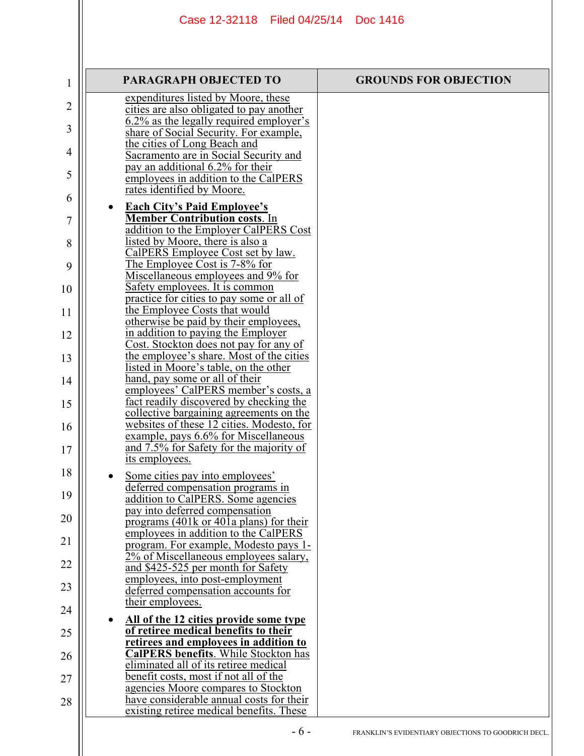| 1  | <b>PARAGRAPH OBJECTED TO</b>                                                                                        | <b>GROUNDS FOR OBJECTION</b> |
|----|---------------------------------------------------------------------------------------------------------------------|------------------------------|
| 2  | expenditures listed by Moore, these<br>cities are also obligated to pay another                                     |                              |
| 3  | 6.2% as the legally required employer's<br>share of Social Security. For example,                                   |                              |
| 4  | the cities of Long Beach and<br>Sacramento are in Social Security and                                               |                              |
| 5  | pay an additional 6.2% for their<br>employees in addition to the CalPERS                                            |                              |
| 6  | rates identified by Moore.                                                                                          |                              |
| 7  | <b>Each City's Paid Employee's</b><br><b>Member Contribution costs. In</b><br>addition to the Employer CalPERS Cost |                              |
| 8  | listed by Moore, there is also a<br>CalPERS Employee Cost set by law.                                               |                              |
| 9  | The Employee Cost is 7-8% for                                                                                       |                              |
| 10 | Miscellaneous employees and 9% for<br>Safety employees. It is common                                                |                              |
| 11 | practice for cities to pay some or all of<br>the Employee Costs that would                                          |                              |
| 12 | otherwise be paid by their employees,<br>in addition to paying the Employer                                         |                              |
| 13 | Cost. Stockton does not pay for any of<br>the employee's share. Most of the cities                                  |                              |
| 14 | listed in Moore's table, on the other<br>hand, pay some or all of their                                             |                              |
| 15 | employees' CalPERS member's costs, a<br>fact readily discovered by checking the                                     |                              |
| 16 | collective bargaining agreements on the<br>websites of these 12 cities. Modesto, for                                |                              |
| 17 | example, pays 6.6% for Miscellaneous<br>and 7.5% for Safety for the majority of                                     |                              |
| 18 | its employees.                                                                                                      |                              |
| 19 | Some cities pay into employees'<br>deferred compensation programs in                                                |                              |
| 20 | addition to CalPERS. Some agencies<br>pay into deferred compensation                                                |                              |
| 21 | programs (401k or 401a plans) for their<br>employees in addition to the CalPERS                                     |                              |
|    | program. For example, Modesto pays 1-<br>2% of Miscellaneous employees salary,                                      |                              |
| 22 | and \$425-525 per month for Safety<br>employees, into post-employment                                               |                              |
| 23 | deferred compensation accounts for<br>their employees.                                                              |                              |
| 24 | All of the 12 cities provide some type                                                                              |                              |
| 25 | of retiree medical benefits to their<br>retirees and employees in addition to                                       |                              |
| 26 | <b>CalPERS benefits.</b> While Stockton has<br>eliminated all of its retiree medical                                |                              |
| 27 | benefit costs, most if not all of the<br>agencies Moore compares to Stockton                                        |                              |
| 28 | have considerable annual costs for their<br>existing retiree medical benefits. These                                |                              |
|    |                                                                                                                     |                              |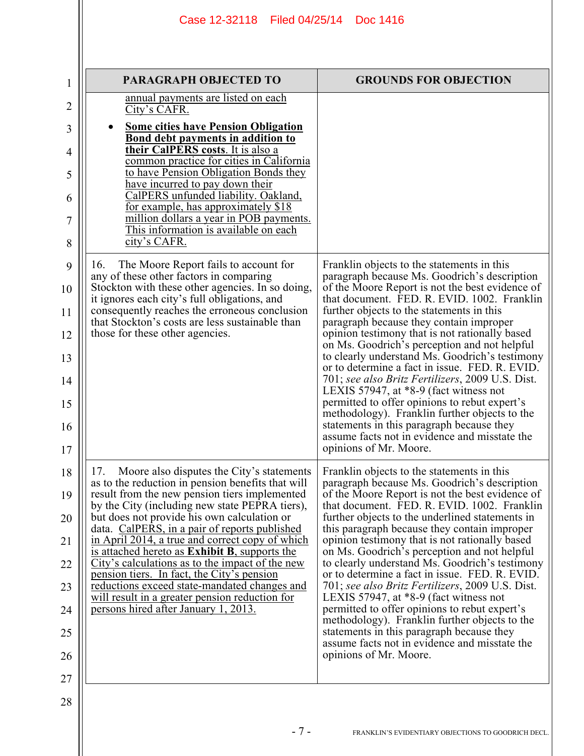|                                                          | Case 12-32118   Filed 04/25/14   Doc 1416                                                                                                                                                                                                                                                                                                                                                                                                                                                                                                                                                                                                                       |                                                                                                                                                                                                                                                                                                                                                                                                                                                                                                                                                                                                                                                                                                                                                                                                                                 |  |
|----------------------------------------------------------|-----------------------------------------------------------------------------------------------------------------------------------------------------------------------------------------------------------------------------------------------------------------------------------------------------------------------------------------------------------------------------------------------------------------------------------------------------------------------------------------------------------------------------------------------------------------------------------------------------------------------------------------------------------------|---------------------------------------------------------------------------------------------------------------------------------------------------------------------------------------------------------------------------------------------------------------------------------------------------------------------------------------------------------------------------------------------------------------------------------------------------------------------------------------------------------------------------------------------------------------------------------------------------------------------------------------------------------------------------------------------------------------------------------------------------------------------------------------------------------------------------------|--|
| 1                                                        | PARAGRAPH OBJECTED TO                                                                                                                                                                                                                                                                                                                                                                                                                                                                                                                                                                                                                                           | <b>GROUNDS FOR OBJECTION</b>                                                                                                                                                                                                                                                                                                                                                                                                                                                                                                                                                                                                                                                                                                                                                                                                    |  |
| 2<br>3<br>4                                              | annual payments are listed on each<br>City's CAFR.<br><b>Some cities have Pension Obligation</b><br>Bond debt payments in addition to<br>their CalPERS costs. It is also a                                                                                                                                                                                                                                                                                                                                                                                                                                                                                      |                                                                                                                                                                                                                                                                                                                                                                                                                                                                                                                                                                                                                                                                                                                                                                                                                                 |  |
| 5<br>6<br>7<br>8                                         | common practice for cities in California<br>to have Pension Obligation Bonds they<br>have incurred to pay down their<br>CalPERS unfunded liability. Oakland,<br>for example, has approximately \$18<br>million dollars a year in POB payments.<br>This information is available on each<br>city's CAFR.                                                                                                                                                                                                                                                                                                                                                         |                                                                                                                                                                                                                                                                                                                                                                                                                                                                                                                                                                                                                                                                                                                                                                                                                                 |  |
| 9<br>10<br>11<br>12<br>13<br>14<br>15<br>16<br>17        | The Moore Report fails to account for<br>16.<br>any of these other factors in comparing<br>Stockton with these other agencies. In so doing,<br>it ignores each city's full obligations, and<br>consequently reaches the erroneous conclusion<br>that Stockton's costs are less sustainable than<br>those for these other agencies.                                                                                                                                                                                                                                                                                                                              | Franklin objects to the statements in this<br>paragraph because Ms. Goodrich's description<br>of the Moore Report is not the best evidence of<br>that document. FED. R. EVID. 1002. Franklin<br>further objects to the statements in this<br>paragraph because they contain improper<br>opinion testimony that is not rationally based<br>on Ms. Goodrich's perception and not helpful<br>to clearly understand Ms. Goodrich's testimony<br>or to determine a fact in issue. FED. R. EVID.<br>701; see also Britz Fertilizers, 2009 U.S. Dist.<br>LEXIS 57947, at $*8-9$ (fact witness not<br>permitted to offer opinions to rebut expert's<br>methodology). Franklin further objects to the<br>statements in this paragraph because they<br>assume facts not in evidence and misstate the<br>opinions of Mr. Moore.            |  |
| 18<br>19<br>20<br>21<br>22<br>23<br>24<br>25<br>26<br>27 | Moore also disputes the City's statements<br>17.<br>as to the reduction in pension benefits that will<br>result from the new pension tiers implemented<br>by the City (including new state PEPRA tiers),<br>but does not provide his own calculation or<br>data. CalPERS, in a pair of reports published<br>in April 2014, a true and correct copy of which<br>is attached hereto as <b>Exhibit B</b> , supports the<br>City's calculations as to the impact of the new<br>pension tiers. In fact, the City's pension<br>reductions exceed state-mandated changes and<br>will result in a greater pension reduction for<br>persons hired after January 1, 2013. | Franklin objects to the statements in this<br>paragraph because Ms. Goodrich's description<br>of the Moore Report is not the best evidence of<br>that document. FED. R. EVID. 1002. Franklin<br>further objects to the underlined statements in<br>this paragraph because they contain improper<br>opinion testimony that is not rationally based<br>on Ms. Goodrich's perception and not helpful<br>to clearly understand Ms. Goodrich's testimony<br>or to determine a fact in issue. FED. R. EVID.<br>701; see also Britz Fertilizers, 2009 U.S. Dist.<br>LEXIS 57947, at $*8-9$ (fact witness not<br>permitted to offer opinions to rebut expert's<br>methodology). Franklin further objects to the<br>statements in this paragraph because they<br>assume facts not in evidence and misstate the<br>opinions of Mr. Moore. |  |
| 28                                                       | $-7-$                                                                                                                                                                                                                                                                                                                                                                                                                                                                                                                                                                                                                                                           | FRANKLIN'S EVIDENTIARY OBJECTIONS TO GOODRICH DECL.                                                                                                                                                                                                                                                                                                                                                                                                                                                                                                                                                                                                                                                                                                                                                                             |  |